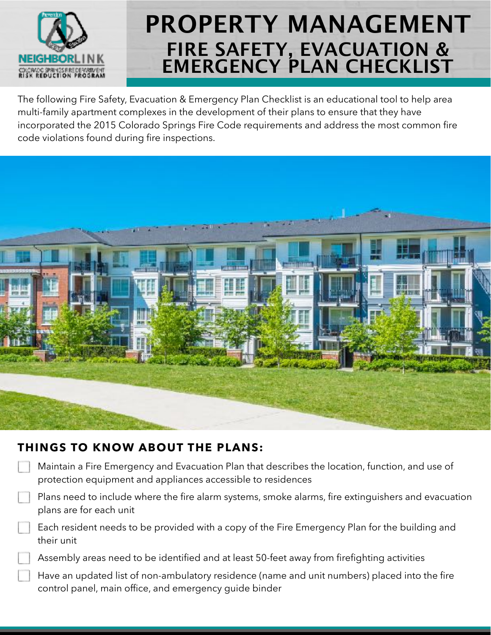

The following Fire Safety, Evacuation & Emergency Plan Checklist is an educational tool to help area multi-family apartment complexes in the development of their plans to ensure that they have incorporated the 2015 Colorado Springs Fire Code requirements and address the most common fire code violations found during fire inspections.



#### **THINGS TO KNOW ABOUT THE PLANS:**

| Maintain a Fire Emergency and Evacuation Plan that describes the location, function, and use of<br>protection equipment and appliances accessible to residences |
|-----------------------------------------------------------------------------------------------------------------------------------------------------------------|
| Plans need to include where the fire alarm systems, smoke alarms, fire extinguishers and evacuation<br>plans are for each unit                                  |
| Each resident needs to be provided with a copy of the Fire Emergency Plan for the building and<br>their unit                                                    |
| Assembly areas need to be identified and at least 50-feet away from firefighting activities                                                                     |
| Have an updated list of non-ambulatory residence (name and unit numbers) placed into the fire<br>control panel, main office, and emergency quide binder         |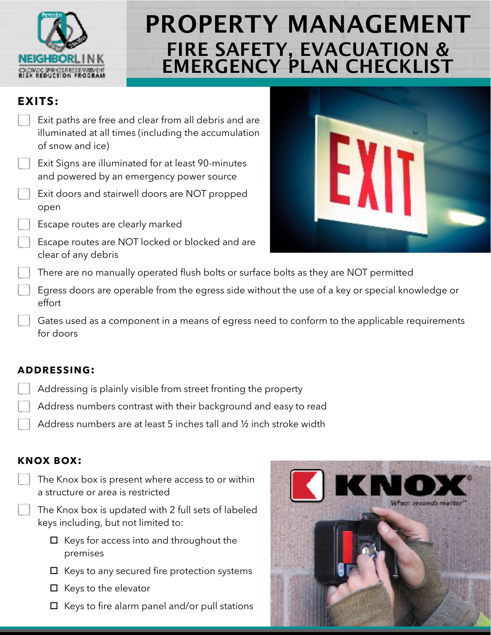

#### **EXITS:**

Exit paths are free and clear from all debris and are illuminated at all times (including the accumulation EXI of snow and ice) Exit Signs are illuminated for at least 90-minutes and powered by an emergency power source Exit doors and stairwell doors are NOT propped open Escape routes are clearly marked Escape routes are NOT locked or blocked and are clear of any debris There are no manually operated flush bolts or surface bolts as they are NOT permitted Egress doors are operable from the egress side without the use of a key or special knowledge or effort Gates used as a component in a means of egress need to conform to the applicable requirements for doors

#### **ADDRESSING:**

- Addressing is plainly visible from street fronting the property
- Address numbers contrast with their background and easy to read
	- Address numbers are at least 5 inches tall and ½ inch stroke width

### **KNOX BOX:**



The Knox box is updated with 2 full sets of labeled keys including, but not limited to:

- $\Box$  Keys for access into and throughout the premises
- $\Box$  Keys to any secured fire protection systems
- $\Box$  Keys to the elevator
- $\Box$  Keys to fire alarm panel and/or pull stations

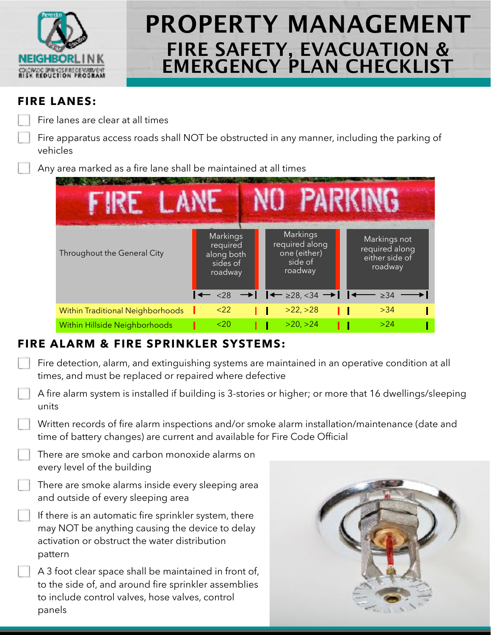

#### **FIRE LANES:**

Fire lanes are clear at all times

Fire apparatus access roads shall NOT be obstructed in any manner, including the parking of vehicles

Any area marked as a fire lane shall be maintained at all times



### **FIRE ALARM & FIRE SPRINKLER SYSTEMS:**

| Fire detection, alarm, and extinguishing systems are maintained in an operative condition at all |
|--------------------------------------------------------------------------------------------------|
| times, and must be replaced or repaired where defective                                          |

| A fire alarm system is installed if building is 3-stories or higher; or more that 16 dwellings/sleeping |
|---------------------------------------------------------------------------------------------------------|
| units                                                                                                   |

Written records of fire alarm inspections and/or smoke alarm installation/maintenance (date and time of battery changes) are current and available for Fire Code Official

There are smoke and carbon monoxide alarms on every level of the building

There are smoke alarms inside every sleeping area and outside of every sleeping area

If there is an automatic fire sprinkler system, there may NOT be anything causing the device to delay activation or obstruct the water distribution pattern

A 3 foot clear space shall be maintained in front of, to the side of, and around fire sprinkler assemblies to include control valves, hose valves, control panels

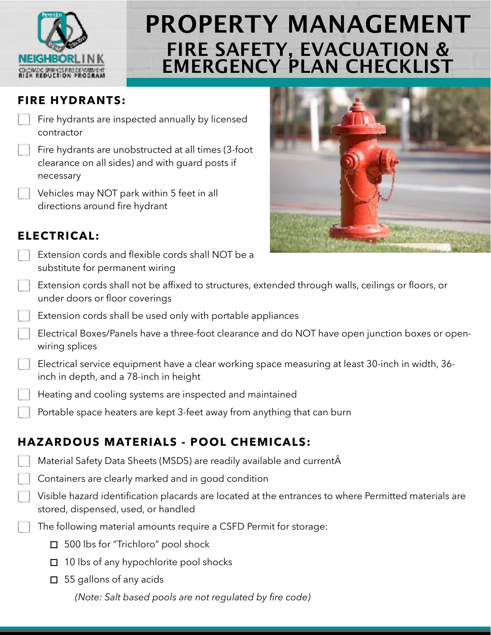

### **FIRE HYDRANTS:**

Fire hydrants are inspected annually by licensed contractor

Fire hydrants are unobstructed at all times (3-foot clearance on all sides) and with guard posts if necessary

Vehicles may NOT park within 5 feet in all directions around fire hydrant



### **ELECTRICAL:**

- Extension cords and flexible cords shall NOT be a substitute for permanent wiring
- Extension cords shall not be affixed to structures, extended through walls, ceilings or floors, or under doors or floor coverings
- Extension cords shall be used only with portable appliances
- Electrical Boxes/Panels have a three-foot clearance and do NOT have open junction boxes or openwiring splices
- Electrical service equipment have a clear working space measuring at least 30-inch in width, 36 inch in depth, and a 78-inch in height
- Heating and cooling systems are inspected and maintained
- Portable space heaters are kept 3-feet away from anything that can burn

## **HAZARDOUS MATERIALS - POOL CHEMICALS:**

- Material Safety Data Sheets (MSDS) are readily available and current
	- Containers are clearly marked and in good condition
	- Visible hazard identification placards are located at the entrances to where Permitted materials are stored, dispensed, used, or handled
	- The following material amounts require a CSFD Permit for storage:
		- □ 500 lbs for "Trichloro" pool shock
		- $\Box$  10 lbs of any hypochlorite pool shocks
		- $\Box$  55 gallons of any acids

*(Note: Salt based pools are not regulated by fire code)*